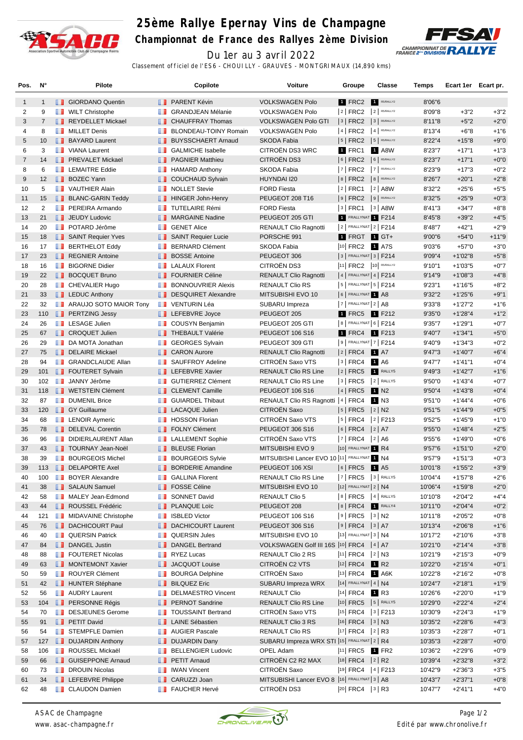

## **25ème Rallye Epernay Vins de Champagne**

**Championnat de France des Rallyes 2ème Division**



Du 1er au 3 avril 2022 Classement officiel de l'ES6 - CHOUILLY - GRAUVES - MONTGRIMAUX (14,890 kms)

| Pos.           | N°             |     | Pilote                        |                                                                                                                       | Copilote                       | Voiture                                        | Groupe                     | <b>Classe</b>    | Temps   | Ecart 1er Ecart pr. |         |
|----------------|----------------|-----|-------------------------------|-----------------------------------------------------------------------------------------------------------------------|--------------------------------|------------------------------------------------|----------------------------|------------------|---------|---------------------|---------|
| $\mathbf{1}$   | $\mathbf{1}$   |     | <b>B</b> GIORDANO Quentin     |                                                                                                                       | <b>B</b> PARENT Kévin          | <b>VOLKSWAGEN Polo</b>                         | 1 FRC2                     | R5/RALLY2        | 8'06"6  |                     |         |
| 2              | 9              |     | <b>NILT</b> Christophe        | ш                                                                                                                     | <b>GRANDJEAN Mélanie</b>       | <b>VOLKSWAGEN Polo</b>                         | $ 2 $ FRC2 $ 2 $ R5/RALLY2 |                  | 8'09"8  | $+3"2$              | $+3"2$  |
| 3              | $\overline{7}$ |     | REYDELLET Mickael             |                                                                                                                       | <b>T</b> CHAUFFRAY Thomas      | <b>VOLKSWAGEN Polo GTI</b>                     | $ 3 $ FRC2                 | 3 R5/RALLY2      | 8'11"8  | $+5"2$              | $+2"0$  |
| $\overline{4}$ | 8              | ш   | <b>MILLET Denis</b>           | w                                                                                                                     | BLONDEAU-TOINY Romain          | <b>VOLKSWAGEN Polo</b>                         | $ 4 $ FRC2 $ 4 $ R5/RALLY2 |                  | 8'13"4  | $+6"8$              | $+1"6$  |
| 5              | 10             |     | <b>BAYARD Laurent</b>         | ш                                                                                                                     | <b>BUYSSCHAERT Arnaud</b>      | <b>SKODA Fabia</b>                             | 5   FRC2   5   RS/RALLY2   |                  | 8'22"4  | $+15"8$             | $+9"0$  |
| 6              | 3              |     | <b>T</b> VIANA Laurent        | ш                                                                                                                     | <b>GALMICHE Isabelle</b>       | CITROËN DS3 WRC                                | 1 FRC1                     | 1 A8W            | 8'23"7  | $+17"1$             | $+1"3$  |
| $\overline{7}$ | 14             |     | <b>FREVALET Mickael</b>       |                                                                                                                       | <b>PAGNIER Matthieu</b>        | <b>CITROËN DS3</b>                             | $ 6 $ FRC2 $ 6 $ RS/RALLY2 |                  | 8'23"7  | $+17"1$             | $+0"0$  |
| 8              | 6              |     | <b>T</b> LEMAITRE Eddie       | ш                                                                                                                     | <b>HAMARD Anthony</b>          | SKODA Fabia                                    | 7   FRC2                   | 7 R5/RALLY2      | 8'23"9  | $+17"3$             | $+0"2$  |
| 9              | 12             |     | <b>BOZEC Yann</b>             |                                                                                                                       | COUCHAUD Sylvain               | HUYNDAI I20                                    | 8 FRC2 8 R5/RALLY2         |                  | 8'26"7  | $+20"1$             | $+2"8$  |
| 10             | 5              |     | <b>T</b> VAUTHIER Alain       |                                                                                                                       | <b>NOLLET</b> Stevie           | <b>FORD Fiesta</b>                             | 2   FRC1   2   A8W         |                  | 8'32"2  | $+25"6$             | $+5"5$  |
| 11             | 15             |     | <b>BLANC-GARIN Teddy</b>      |                                                                                                                       | <b>HINGER John-Henry</b>       | PEUGEOT 208 T16                                | $ 9 $ FRC2 $ 9 $ R5/RALLY2 |                  | 8'32"5  | $+25"9$             | $+0"3$  |
| 12             | $\overline{2}$ | m   | PEREIRA Armando               | <b>TELEVISION</b>                                                                                                     | <b>TUTELAIRE Rémi</b>          | <b>FORD Fiesta</b>                             | $ 3 $ FRC1                 | $3$ A8W          | 8'41"3  | $+34"7$             | $+8"8$  |
| 13             | 21             |     | <b>JEUDY Ludovic</b>          |                                                                                                                       | <b>NARGAINE Nadine</b>         | PEUGEOT 205 GTI                                | 1 FRALLYNAT 1 F214         |                  | 8'45"8  | $+39"2$             | $+4"5$  |
| 14             | 20             | ш   | POTARD Jérôme                 | ш                                                                                                                     | <b>GENET Alice</b>             | <b>RENAULT Clio Ragnotti</b>                   | $ 2 $ FRALLYNAT $ 2 $ F214 |                  | 8'48"7  | $+42"1$             | $+2"9$  |
| 15             | 18             |     | SAINT Requier Yves            |                                                                                                                       | SAINT Requier Lucie            | PORSCHE 991                                    | 1 FRGT 1 GT+               |                  | 9'00"6  | $+54"0$             | $+11"9$ |
| 16             | 17             |     | <b>BERTHELOT Eddy</b>         | <b>THE R</b>                                                                                                          | <b>BERNARD Clément</b>         | SKODA Fabia                                    | 10 FRC2 1 A7S              |                  | 9'03"6  | $+57"0$             | $+3"0$  |
| 17             | 23             |     | REGNIER Antoine               | ш                                                                                                                     | <b>BOSSE Antoine</b>           | PEUGEOT 306                                    | $3$ FRALLYNAT $3$ F214     |                  | 9'09"4  | $+1'02"8$           | $+5"8$  |
| 18             | 16             | ш   | <b>BIGORNE Didier</b>         | w                                                                                                                     | <b>LALAUX Florent</b>          | CITROËN DS3                                    | 11 FRC2 10 R5/RALLY2       |                  | 9'10"1  | $+1'03"5$           | $+0"7$  |
| 19             | 22             |     | <b>BOCQUET Bruno</b>          |                                                                                                                       | <b>T</b> FOURNIER Céline       | <b>RENAULT Clio Ragnotti</b>                   | $ 4 $ FRALLYNAT $ 4 $ F214 |                  | 9'14"9  | $+1'08"3$           | $+4"8$  |
| 20             | 28             |     | <b>B</b> CHEVALIER Hugo       | ш                                                                                                                     | <b>BONNOUVRIER Alexis</b>      | RENAULT Clio RS                                | $ 5 $ FRALLYNAT $ 5 $ F214 |                  | 9'23''1 | $+1'16"5$           | $+8"2$  |
| 21             | 33             |     | <b>LEDUC Anthony</b>          |                                                                                                                       | DESQUIRET Alexandre            | MITSUBISHI EVO 10                              | 6 FRALLYNAT 1 A8           |                  | 9'32"2  | $+1'25"6$           | $+9"1$  |
| 22             | 32             |     | <b>ARAUJO SOTO MAIOR Tony</b> | ш                                                                                                                     | <b>VENTURIN Léa</b>            | SUBARU Impreza                                 | $7$ FRALLYNAT $2$ A8       |                  | 9'33"8  | $+1'27"2$           | $+1"6$  |
| 23             | 110            |     | <b>PERTZING Jessy</b>         |                                                                                                                       | <b>EXECUTE:</b> LEFEBVRE Joyce | PEUGEOT 205                                    | 1 FRC5 1 F212              |                  | 9'35"0  | $+1'28''4$          | $+1"2$  |
| 24             | 26             |     | <b>T</b> LESAGE Julien        |                                                                                                                       | <b>COUSYN Benjamin</b>         | PEUGEOT 205 GTI                                | 8   FRALLYNAT 6   F214     |                  | 9'35"7  | $+1'29''1$          | $+0"7$  |
| 25             | 67             |     | <b>I</b> CROQUET Julien       |                                                                                                                       | <b>THEBAULT Valérie</b>        | PEUGEOT 106 S16                                | 1 FRC4                     | 1 F213           | 9'40"7  | $+1'34"1$           | $+5"0$  |
| 26             | 29             | ш   | DA MOTA Jonathan              | m                                                                                                                     | <b>GEORGES Sylvain</b>         | PEUGEOT 309 GTI                                | 9   FRALLYNAT 7   F214     |                  | 9'40"9  | $+1'34''3$          | $+0"2$  |
| 27             | 75             |     | DELAIRE Mickael               |                                                                                                                       | <b>B</b> CARON Aurore          | <b>RENAULT Clio Ragnotti</b>                   | 2   FRC4                   | <b>1</b> A7      | 9'47''3 | $+1'40''7$          | $+6"4$  |
| 28             | 94             | ш   | <b>GRANDCLAUDE Allan</b>      | w                                                                                                                     | <b>SAUFFROY Adeline</b>        | CITROËN Saxo VTS                               | $ 3 $ FRC4                 | 1 A6             | 9'47"7  | $+1'41"1$           | $+0"4$  |
| 29             | 101            |     | <b>FOUTERET Sylvain</b>       |                                                                                                                       | <b>LEFEBVRE Xavier</b>         | <b>RENAULT Clio RS Line</b>                    | $ 2 $ FRC5                 | RALLY5           | 9'49"3  | $+1'42"7$           | $+1"6$  |
| 30             | 102            |     | <b>JANNY Jérôme</b>           |                                                                                                                       | <b>B</b> GUTIERREZ Clément     | <b>RENAULT Clio RS Line</b>                    | $ 3 $ FRC5 $ 2 $ RALLY5    |                  | 9'50"0  | $+1'43''4$          | $+0"7$  |
| 31             | 118            |     | <b>I</b> WETSTEIN Clément     |                                                                                                                       | <b>CLEMENT Camille</b>         | <b>PEUGEOT 106 S16</b>                         | $ 4 $ FRC5                 | 1 N <sub>2</sub> | 9'50"4  | $+1'43''8$          | $+0"4$  |
| 32             | 87             | a a | <b>DUMENIL Brice</b>          | w                                                                                                                     | <b>GUIARDEL Thibaut</b>        | RENAULT Clio RS Ragnotti   4   FRC4            |                            | 1 N3             | 9'51"0  | $+1'44''4$          | $+0"6$  |
| 33             | 120            |     | <b>B</b> GY Guillaume         |                                                                                                                       | <b>LACAQUE Julien</b>          | CITROËN Saxo                                   | 5   FRC5                   | $ 2 $ N2         | 9'51''5 | $+1'44''9$          | $+0"5$  |
| 34             | 68             |     | <b>EXAMPLE LENOIR Aymeric</b> | w                                                                                                                     | <b>HOSSON Florian</b>          | CITROËN Saxo VTS                               | 5   FRC4   2   F213        |                  | 9'52"5  | $+1'45''9$          | $+1"0$  |
| 35             | 78             |     | DELEVAL Corentin              |                                                                                                                       | <b>FOLNY Clément</b>           | <b>PEUGEOT 306 S16</b>                         | $ 6 $ FRC4 $ 2 $ A7        |                  | 9'55"0  | $+1'48''4$          | $+2"5$  |
| 36             | 96             |     | DIDIERLAURENT Allan           | <b>The Contract of the Contract of the Contract of the Contract of the Contract of the Contract of the Contract o</b> | <b>LALLEMENT Sophie</b>        | CITROËN Saxo VTS                               | $ 7 $ FRC4 $ 2 $ A6        |                  | 9'55"6  | $+1'49"0$           | $+0"6$  |
| 37             | 43             |     | <b>T</b> TOURNAY Jean-Noël    | <b>IL 1</b>                                                                                                           | <b>BLEUSE Florian</b>          | MITSUBISHI EVO 9                               | 10 FRALLYNAT 1 R4          |                  | 9'57"6  | $+1'51"0$           | $+2"0$  |
| 38             | 39             | ш   | <b>BOURGEOIS Michel</b>       | w                                                                                                                     | <b>BOURGEOIS Sylvie</b>        | MITSUBISHI Lancer EVO 10 11 FRALLYNAT 1 N4     |                            |                  | 9'57"9  | $+1'51''3$          | $+0"3$  |
| 39             | 113            |     | DELAPORTE Axel                |                                                                                                                       | <b>BORDERIE Amandine</b>       | PEUGEOT 106 XSI                                | 6   FRC5                   | <b>1</b> A5      | 10'01"8 | $+1'55"2$           | $+3"9$  |
| 40             | 100            | H.  | <b>BOYER Alexandre</b>        | ш                                                                                                                     | <b>GALLINA Florent</b>         | RENAULT Clio RS Line                           | $ 7 $ FRC5 $ 3 $ RALLY5    |                  | 10'04"4 | +1'57"8             | +2"6    |
| 41             | 38             |     | <b>B</b> SALAUN Samuel        |                                                                                                                       | <b>FOSSE Céline</b>            | MITSUBISHI EVO 10                              | $ 12 $ FRALLYNAT $ 2 $ N4  |                  | 10'06"4 | $+1'59''8$          | $+2"0$  |
| 42             | 58             |     | MALEY Jean-Edmond             | w                                                                                                                     | <b>SONNET David</b>            | <b>RENAULT Clio 5</b>                          | 8   FRC5   4   RALLY5      |                  | 10'10"8 | $+2'04"2$           | $+4"4$  |
| 43             | 44             |     | ROUSSEL Frédéric              |                                                                                                                       | <b>PLANQUE Loïc</b>            | PEUGEOT 208                                    | $ 8 $ FRC4                 | RALLY4           | 10'11"0 | $+2'04''4$          | $+0"2$  |
| 44             | 121            |     | MIDAVAINE Christophe          | <b>The Co</b>                                                                                                         | <b>ISBLED Victor</b>           | PEUGEOT 106 S16                                | $ 9 $ FRC5 $ 3 $ N2        |                  | 10'11"8 | $+2'05"2$           | $+0"8$  |
| 45             | 76             |     | DACHICOURT Paul               |                                                                                                                       | DACHICOURT Laurent             | PEUGEOT 306 S16                                | $ 9 $ FRC4 $ 3 $ A7        |                  | 10'13"4 | $+2'06''8$          | $+1"6$  |
| 46             | 40             | ш   | <b>QUERSIN Patrick</b>        |                                                                                                                       | <b>QUERSIN Jules</b>           | MITSUBISHI EVO 10                              | 13 FRALLYNAT 3 N4          |                  | 10'17"2 | $+2'10''6$          | $+3"8$  |
| 47             | 84             |     | DANGEL Justin                 |                                                                                                                       | DANGEL Bertrand                | VOLKSWAGEN Golf III 16S  10 FRC4   4   A7      |                            |                  | 10'21"0 | $+2'14''4$          | $+3"8$  |
| 48             | 88             | m   | <b>FOUTERET Nicolas</b>       | ш                                                                                                                     | <b>RYEZ Lucas</b>              | RENAULT Clio 2 RS                              | $ 11 $ FRC4 $ 2 $ N3       |                  | 10'21"9 | $+2'15''3$          | $+0"9$  |
| 49             | 63             |     | MONTEMONT Xavier              |                                                                                                                       | <b>JACQUOT Louise</b>          | CITROËN C2 VTS                                 | $ 12 $ FRC4                | R <sub>2</sub>   | 10'22"0 | $+2'15''4$          | $+0"1$  |
| 50             | 59             |     | <b>B</b> ROUYER Clément       | U I                                                                                                                   | <b>BOURGA Delphine</b>         | CITROËN Saxo                                   | 13 FRC4 1 A6K              |                  | 10'22"8 | +2'16"2             | $+0"8$  |
| 51             | 42             |     | HUNTER Stéphane               | ш                                                                                                                     | <b>BILQUEZ Eric</b>            | SUBARU Impreza WRX                             | $ 14 $ FRALLYNAT 4   N4    |                  | 10'24"7 | $+2'18"1$           | $+1"9$  |
| 52             | 56             | ш   | <b>AUDRY Laurent</b>          | w                                                                                                                     | <b>DELMAESTRO Vincent</b>      | <b>RENAULT Clio</b>                            | <sup>14</sup> FRC4         | 1 R3             | 10'26"6 | $+2'20"0$           | $+1"9$  |
| 53             | 104            |     | <b>FRSONNE Régis</b>          |                                                                                                                       | <b>PERNOT Sandrine</b>         | <b>RENAULT Clio RS Line</b>                    | 10  FRC5   5   RALLY5      |                  | 10'29"0 | $+2'22''4$          | $+2"4$  |
| 54             | 70             | n n | <b>DESJEUNES Gerome</b>       | ш                                                                                                                     | <b>TOUSSAINT Bertrand</b>      | CITROËN Saxo VTS                               | $ 15 $ FRC4 $ 3 $ F213     |                  | 10'30"9 | $+2'24"3$           | $+1"9$  |
| 55             | 91             |     | <b>PETIT David</b>            |                                                                                                                       | <b>LE</b> LAINE Sébastien      | RENAULT Clio 3 RS                              | $ 16 $ FRC4 $ 3 $ N3       |                  | 10'35"2 | $+2'28''6$          | $+4"3$  |
| 56             | 54             |     | <b>STEMPFLE Damien</b>        | <b>The Co</b>                                                                                                         | <b>AUGIER Pascale</b>          | RENAULT Clio RS                                | $ 17 $ FRC4 $ 2 $ R3       |                  | 10'35"3 | +2'28"7             | $+0"1$  |
| 57             | 127            |     | <b>DUJARDIN Anthony</b>       | ш.                                                                                                                    | <b>DUJARDIN Dany</b>           | SUBARU Impreza WRX STI  15  FRALLYNAT   2   R4 |                            |                  | 10'35"3 | $+2'28"7$           | $+0"0$  |
| 58             | 106            | ш   | ROUSSEL Mickaël               | ш                                                                                                                     | <b>BELLENGIER Ludovic</b>      | OPEL Adam                                      | $ 11 $ FRC5 1 FR2          |                  | 10'36"2 | $+2'29''6$          | $+0"9$  |
| 59             | 66             |     | <b>B</b> GUISEPPONE Arnaud    |                                                                                                                       | <b>PETIT Arnaud</b>            | CITROËN C2 R2 MAX                              | $ 18 $ FRC4 $ 2 $ R2       |                  | 10'39"4 | $+2'32"8$           | $+3"2$  |
| 60             | 73             | n n | <b>DROUIN Nicolas</b>         | ш                                                                                                                     | <b>IWAN Vincent</b>            | CITROËN Saxo                                   | $ 19 $ FRC4 $ 4 $ F213     |                  | 10'42"9 | $+2'36''3$          | $+3"5$  |
| 61             | 34             |     | <b>LEFEBVRE Philippe</b>      |                                                                                                                       | <b>B</b> CARUZZI Joan          | MITSUBISHI Lancer EVO 8  16   FRALLYNAT 3   A8 |                            |                  | 10'43"7 | $+2'37"1$           | $+0"8$  |
| 62             | 48             |     | <b>CLAUDON Damien</b>         |                                                                                                                       | <b>FAUCHER Hervé</b>           | CITROËN DS3                                    | $ 20 $ FRC4 $ 3 $ R3       |                  | 10'47"7 | $+2'41"1$           | $+4"0$  |
|                |                |     |                               |                                                                                                                       |                                |                                                |                            |                  |         |                     |         |